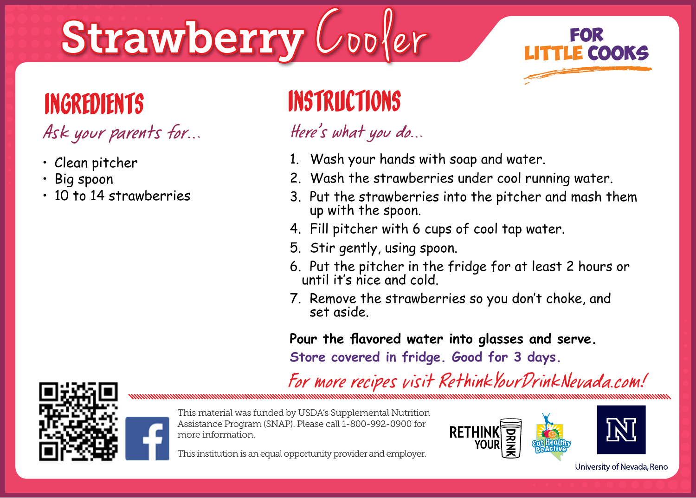# Strawberry Cooler **FOR**



- Clean pitcher
- Big spoon
- 10 to 14 strawberries

- 1. Wash your hands with soap and water.
- 2. Wash the strawberries under cool running water.
- 3. Put the strawberries into the pitcher and mash them up with the spoon.
- 4. Fill pitcher with 6 cups of cool tap water.
- 5. Stir gently, using spoon.
- 6. Put the pitcher in the fridge for at least 2 hours or until it's nice and cold.
- 7. Remove the strawberries so you don't choke, and set aside.

**Pour the flavored water into glasses and serve.**

**Store covered in fridge. Good for 3 days.**

For more recipes visit RethinkYourDrinkNevada.com!





This material was funded by USDA's Supplemental Nutrition Assistance Program (SNAP). Please call 1-800-992-0900 for more information.



This institution is an equal opportunity provider and employer.

University of Nevada, Reno

**LITTLE COOKS**